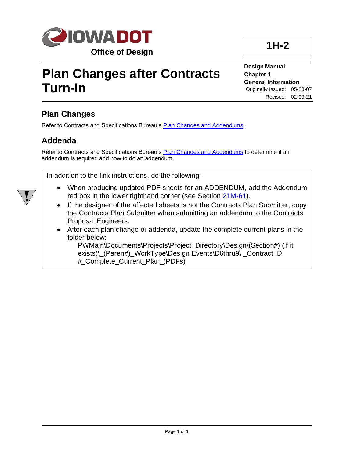

## **Plan Changes after Contracts Turn-In**

**Design Manual Chapter 1 General Information** Originally Issued: 05-23-07 Revised: 02-09-21

**1H-2**

## **Plan Changes**

Refer to Contracts and Specifications Bureau's [Plan Changes and Addendums.](../../contracts/electronicplanspecs/Plan_Changes_and_Addendums_Contracts.pdf)

## **Addenda**

Refer to Contracts and Specifications Bureau's [Plan Changes and Addendums](../../contracts/electronicplanspecs/Plan_Changes_and_Addendums_Contracts.pdf) to determine if an addendum is required and how to do an addendum.

In addition to the link instructions, do the following:

- When producing updated PDF sheets for an ADDENDUM, add the Addendum red box in the lower righthand corner (see Section [21M-61\)](21M-61.pdf).
- If the designer of the affected sheets is not the Contracts Plan Submitter, copy the Contracts Plan Submitter when submitting an addendum to the Contracts Proposal Engineers.
- After each plan change or addenda, update the complete current plans in the folder below:

PWMain\Documents\Projects\Project\_Directory\Design\(Section#) (if it exists)\\_(Paren#)\_WorkType\Design Events\D6thru9\ \_Contract ID #\_Complete\_Current\_Plan\_(PDFs)